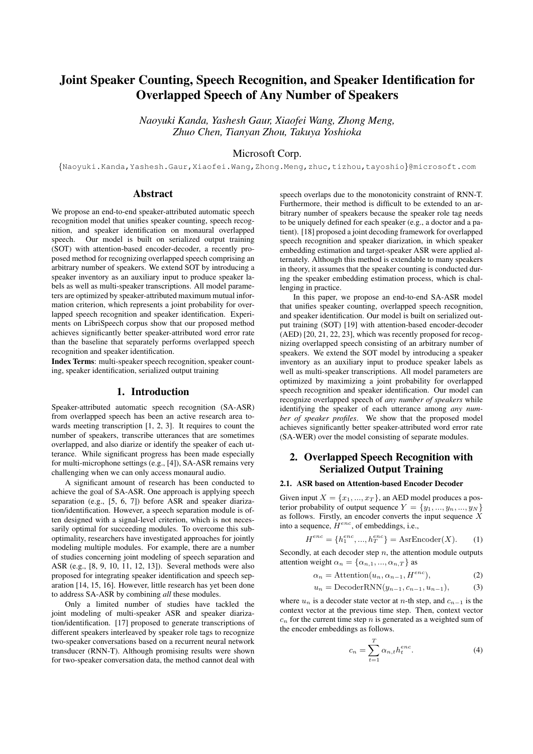# Joint Speaker Counting, Speech Recognition, and Speaker Identification for Overlapped Speech of Any Number of Speakers

*Naoyuki Kanda, Yashesh Gaur, Xiaofei Wang, Zhong Meng, Zhuo Chen, Tianyan Zhou, Takuya Yoshioka*

## Microsoft Corp.

{Naoyuki.Kanda,Yashesh.Gaur,Xiaofei.Wang,Zhong.Meng,zhuc,tizhou,tayoshio}@microsoft.com

## Abstract

We propose an end-to-end speaker-attributed automatic speech recognition model that unifies speaker counting, speech recognition, and speaker identification on monaural overlapped speech. Our model is built on serialized output training (SOT) with attention-based encoder-decoder, a recently proposed method for recognizing overlapped speech comprising an arbitrary number of speakers. We extend SOT by introducing a speaker inventory as an auxiliary input to produce speaker labels as well as multi-speaker transcriptions. All model parameters are optimized by speaker-attributed maximum mutual information criterion, which represents a joint probability for overlapped speech recognition and speaker identification. Experiments on LibriSpeech corpus show that our proposed method achieves significantly better speaker-attributed word error rate than the baseline that separately performs overlapped speech recognition and speaker identification.

Index Terms: multi-speaker speech recognition, speaker counting, speaker identification, serialized output training

## 1. Introduction

Speaker-attributed automatic speech recognition (SA-ASR) from overlapped speech has been an active research area towards meeting transcription [1, 2, 3]. It requires to count the number of speakers, transcribe utterances that are sometimes overlapped, and also diarize or identify the speaker of each utterance. While significant progress has been made especially for multi-microphone settings (e.g., [4]), SA-ASR remains very challenging when we can only access monaural audio.

A significant amount of research has been conducted to achieve the goal of SA-ASR. One approach is applying speech separation (e.g., [5, 6, 7]) before ASR and speaker diarization/identification. However, a speech separation module is often designed with a signal-level criterion, which is not necessarily optimal for succeeding modules. To overcome this suboptimality, researchers have investigated approaches for jointly modeling multiple modules. For example, there are a number of studies concerning joint modeling of speech separation and ASR (e.g., [8, 9, 10, 11, 12, 13]). Several methods were also proposed for integrating speaker identification and speech separation [14, 15, 16]. However, little research has yet been done to address SA-ASR by combining *all* these modules.

Only a limited number of studies have tackled the joint modeling of multi-speaker ASR and speaker diarization/identification. [17] proposed to generate transcriptions of different speakers interleaved by speaker role tags to recognize two-speaker conversations based on a recurrent neural network transducer (RNN-T). Although promising results were shown for two-speaker conversation data, the method cannot deal with speech overlaps due to the monotonicity constraint of RNN-T. Furthermore, their method is difficult to be extended to an arbitrary number of speakers because the speaker role tag needs to be uniquely defined for each speaker (e.g., a doctor and a patient). [18] proposed a joint decoding framework for overlapped speech recognition and speaker diarization, in which speaker embedding estimation and target-speaker ASR were applied alternately. Although this method is extendable to many speakers in theory, it assumes that the speaker counting is conducted during the speaker embedding estimation process, which is challenging in practice.

In this paper, we propose an end-to-end SA-ASR model that unifies speaker counting, overlapped speech recognition, and speaker identification. Our model is built on serialized output training (SOT) [19] with attention-based encoder-decoder (AED) [20, 21, 22, 23], which was recently proposed for recognizing overlapped speech consisting of an arbitrary number of speakers. We extend the SOT model by introducing a speaker inventory as an auxiliary input to produce speaker labels as well as multi-speaker transcriptions. All model parameters are optimized by maximizing a joint probability for overlapped speech recognition and speaker identification. Our model can recognize overlapped speech of *any number of speakers* while identifying the speaker of each utterance among *any number of speaker profiles*. We show that the proposed model achieves significantly better speaker-attributed word error rate (SA-WER) over the model consisting of separate modules.

## 2. Overlapped Speech Recognition with Serialized Output Training

#### 2.1. ASR based on Attention-based Encoder Decoder

Given input  $X = \{x_1, ..., x_T\}$ , an AED model produces a posterior probability of output sequence  $Y = \{y_1, ..., y_n, ..., y_N\}$ as follows. Firstly, an encoder converts the input sequence  $X$ into a sequence,  $\hat{H}^{enc}$ , of embeddings, i.e.,

$$
H^{enc} = \{h_1^{enc}, ..., h_T^{enc}\} = \text{AsrEncoder}(X). \tag{1}
$$

Secondly, at each decoder step  $n$ , the attention module outputs attention weight  $\alpha_n = {\alpha_{n,1}, ..., \alpha_{n,T}}$  as

$$
\alpha_n = \text{Attention}(u_n, \alpha_{n-1}, H^{enc}), \tag{2}
$$

$$
u_n = \text{DecoderRNN}(y_{n-1}, c_{n-1}, u_{n-1}),\tag{3}
$$

where  $u_n$  is a decoder state vector at n-th step, and  $c_{n-1}$  is the context vector at the previous time step. Then, context vector  $c_n$  for the current time step n is generated as a weighted sum of the encoder embeddings as follows.

$$
c_n = \sum_{t=1}^{T} \alpha_{n,t} h_t^{enc}.
$$
 (4)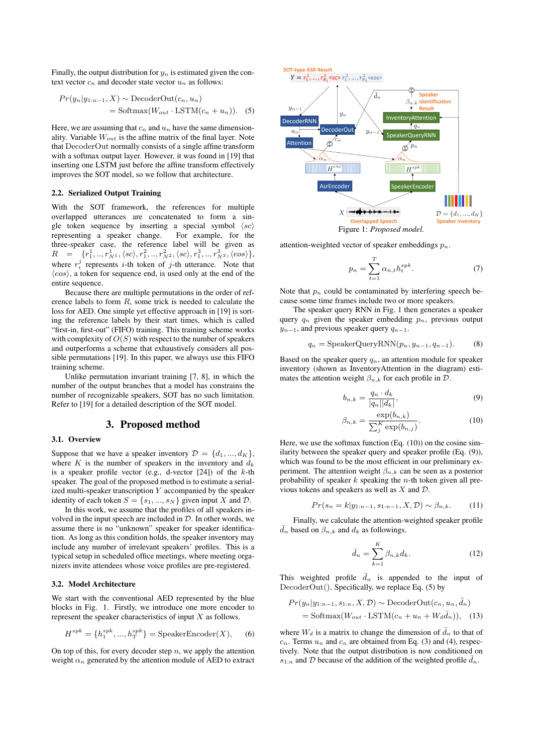Finally, the output distribution for  $y_n$  is estimated given the context vector  $c_n$  and decoder state vector  $u_n$  as follows:

$$
Pr(y_n|y_{1:n-1}, X) \sim \text{DecoderOut}(c_n, u_n)
$$
  
= Softmax( $W_{out} \cdot \text{LSTM}(c_n + u_n)$ ). (5)

Here, we are assuming that  $c_n$  and  $u_n$  have the same dimensionality. Variable  $W_{out}$  is the affine matrix of the final layer. Note that DecoderOut normally consists of a single affine transform with a softmax output layer. However, it was found in [19] that inserting one LSTM just before the affine transform effectively improves the SOT model, so we follow that architecture.

## 2.2. Serialized Output Training

With the SOT framework, the references for multiple overlapped utterances are concatenated to form a single token sequence by inserting a special symbol  $\langle sc \rangle$ representing a speaker change. For example, for the three-speaker case, the reference label will be given as  $R = \{r_1^1, .., r_{N^1}^1, \langle sc \rangle, r_1^2, .., r_{N^2}^2, \langle sc \rangle, r_1^3, .., r_{N^3}^3, \langle eos \rangle\},$ where  $r_i^j$  represents *i*-th token of *j*-th utterance. Note that  $\langle eos\rangle$ , a token for sequence end, is used only at the end of the entire sequence.

Because there are multiple permutations in the order of reference labels to form  $R$ , some trick is needed to calculate the loss for AED. One simple yet effective approach in [19] is sorting the reference labels by their start times, which is called "first-in, first-out" (FIFO) training. This training scheme works with complexity of  $O(S)$  with respect to the number of speakers and outperforms a scheme that exhaustively considers all possible permutations [19]. In this paper, we always use this FIFO training scheme.

Unlike permutation invariant training [7, 8], in which the number of the output branches that a model has constrains the number of recognizable speakers, SOT has no such limitation. Refer to [19] for a detailed description of the SOT model.

## 3. Proposed method

#### 3.1. Overview

Suppose that we have a speaker inventory  $\mathcal{D} = \{d_1, ..., d_K\},\$ where  $K$  is the number of speakers in the inventory and  $d_k$ is a speaker profile vector (e.g., d-vector  $[24]$ ) of the k-th speaker. The goal of the proposed method is to estimate a serialized multi-speaker transcription  $Y$  accompanied by the speaker identity of each token  $S = \{s_1, ..., s_N\}$  given input X and D.

In this work, we assume that the profiles of all speakers involved in the input speech are included in  $D$ . In other words, we assume there is no "unknown" speaker for speaker identification. As long as this condition holds, the speaker inventory may include any number of irrelevant speakers' profiles. This is a typical setup in scheduled office meetings, where meeting organizers invite attendees whose voice profiles are pre-registered.

### 3.2. Model Architecture

We start with the conventional AED represented by the blue blocks in Fig. 1. Firstly, we introduce one more encoder to represent the speaker characteristics of input  $X$  as follows.

$$
H^{spk} = \{h_1^{spk}, ..., h_T^{spk}\} = \text{SpeakerEncoder}(X), \quad (6)
$$

On top of this, for every decoder step  $n$ , we apply the attention weight  $\alpha_n$  generated by the attention module of AED to extract



attention-weighted vector of speaker embeddings  $p_n$ .

$$
p_n = \sum_{t=1}^{T} \alpha_{n,t} h_t^{spk}.
$$
 (7)

Note that  $p_n$  could be contaminated by interfering speech because some time frames include two or more speakers.

The speaker query RNN in Fig. 1 then generates a speaker query  $q_n$  given the speaker embedding  $p_n$ , previous output  $y_{n-1}$ , and previous speaker query  $q_{n-1}$ .

$$
q_n = \text{SpeakerQueryRNN}(p_n, y_{n-1}, q_{n-1}).\tag{8}
$$

Based on the speaker query  $q_n$ , an attention module for speaker inventory (shown as InventoryAttention in the diagram) estimates the attention weight  $\beta_{n,k}$  for each profile in  $\mathcal{D}$ .

$$
b_{n,k} = \frac{q_n \cdot d_k}{|q_n||d_k|},\tag{9}
$$

$$
\beta_{n,k} = \frac{\exp(b_{n,k})}{\sum_{j}^{K} \exp(b_{n,j})}.
$$
\n(10)

Here, we use the softmax function (Eq. (10)) on the cosine similarity between the speaker query and speaker profile (Eq. (9)), which was found to be the most efficient in our preliminary experiment. The attention weight  $\beta_{n,k}$  can be seen as a posterior probability of speaker  $k$  speaking the *n*-th token given all previous tokens and speakers as well as  $X$  and  $D$ .

$$
Pr(s_n = k | y_{1:n-1}, s_{1:n-1}, X, \mathcal{D}) \sim \beta_{n,k}.
$$
 (11)

Finally, we calculate the attention-weighted speaker profile  $\bar{d}_n$  based on  $\beta_{n,k}$  and  $d_k$  as followings.

$$
\bar{d}_n = \sum_{k=1}^K \beta_{n,k} d_k. \tag{12}
$$

This weighted profile  $\bar{d}_n$  is appended to the input of DecoderOut(). Specifically, we replace Eq. (5) by

$$
Pr(y_n|y_{1:n-1}, s_{1:n}, X, \mathcal{D}) \sim \text{DecoderOut}(c_n, u_n, \bar{d}_n)
$$
  
= Softmax(W\_{out} \cdot \text{LSTM}(c\_n + u\_n + W\_d \bar{d}\_n)), (13)

where  $W_d$  is a matrix to change the dimension of  $\bar{d}_n$  to that of  $c_n$ . Terms  $u_n$  and  $c_n$  are obtained from Eq. (3) and (4), respectively. Note that the output distribution is now conditioned on  $s_{1:n}$  and  $D$  because of the addition of the weighted profile  $\bar{d}_n$ .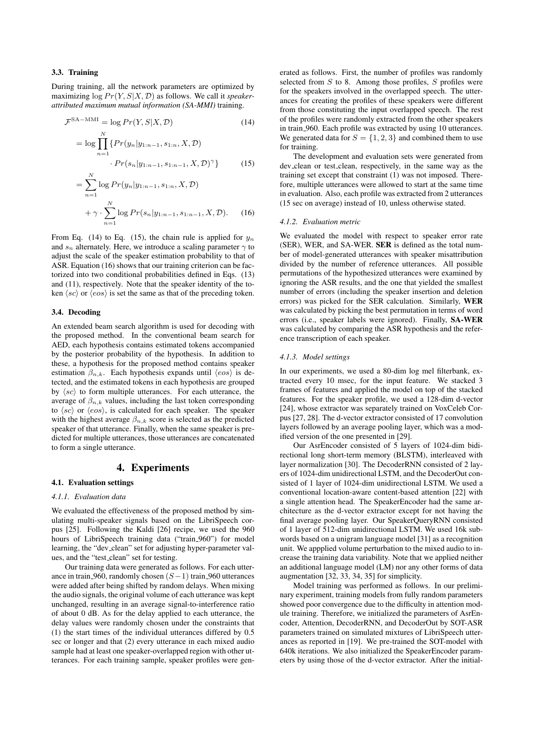## 3.3. Training

During training, all the network parameters are optimized by maximizing  $\log Pr(Y, S | X, \mathcal{D})$  as follows. We call it *speakerattributed maximum mutual information (SA-MMI)* training.

$$
\mathcal{F}^{\text{SA-MMI}} = \log Pr(Y, S | X, \mathcal{D}) \tag{14}
$$

$$
= \log \prod_{n=1}^{N} \{ Pr(y_n | y_{1:n-1}, s_{1:n}, X, \mathcal{D}) \newline \cdot Pr(s_n | y_{1:n-1}, s_{1:n-1}, X, \mathcal{D})^{\gamma} \} \tag{15}
$$

$$
= \sum_{n=1}^{N} \log Pr(y_n | y_{1:n-1}, s_{1:n}, X, \mathcal{D})
$$

$$
+ \gamma \cdot \sum_{n=1}^{N} \log Pr(s_n | y_{1:n-1}, s_{1:n-1}, X, \mathcal{D}). \tag{16}
$$

From Eq. (14) to Eq. (15), the chain rule is applied for  $y_n$ and  $s_n$  alternately. Here, we introduce a scaling parameter  $\gamma$  to adjust the scale of the speaker estimation probability to that of ASR. Equation (16) shows that our training criterion can be factorized into two conditional probabilities defined in Eqs. (13) and (11), respectively. Note that the speaker identity of the token  $\langle sc \rangle$  or  $\langle eos \rangle$  is set the same as that of the preceding token.

### 3.4. Decoding

An extended beam search algorithm is used for decoding with the proposed method. In the conventional beam search for AED, each hypothesis contains estimated tokens accompanied by the posterior probability of the hypothesis. In addition to these, a hypothesis for the proposed method contains speaker estimation  $\beta_{n,k}$ . Each hypothesis expands until  $\langle eos\rangle$  is detected, and the estimated tokens in each hypothesis are grouped by  $\langle sc \rangle$  to form multiple utterances. For each utterance, the average of  $\beta_{n,k}$  values, including the last token corresponding to  $\langle sc \rangle$  or  $\langle eos \rangle$ , is calculated for each speaker. The speaker with the highest average  $\beta_{n,k}$  score is selected as the predicted speaker of that utterance. Finally, when the same speaker is predicted for multiple utterances, those utterances are concatenated to form a single utterance.

## 4. Experiments

#### 4.1. Evaluation settings

#### *4.1.1. Evaluation data*

We evaluated the effectiveness of the proposed method by simulating multi-speaker signals based on the LibriSpeech corpus [25]. Following the Kaldi [26] recipe, we used the 960 hours of LibriSpeech training data ("train 960") for model learning, the "dev clean" set for adjusting hyper-parameter values, and the "test clean" set for testing.

Our training data were generated as follows. For each utterance in train 960, randomly chosen  $(S-1)$  train 960 utterances were added after being shifted by random delays. When mixing the audio signals, the original volume of each utterance was kept unchanged, resulting in an average signal-to-interference ratio of about 0 dB. As for the delay applied to each utterance, the delay values were randomly chosen under the constraints that (1) the start times of the individual utterances differed by 0.5 sec or longer and that (2) every utterance in each mixed audio sample had at least one speaker-overlapped region with other utterances. For each training sample, speaker profiles were generated as follows. First, the number of profiles was randomly selected from  $S$  to 8. Among those profiles,  $S$  profiles were for the speakers involved in the overlapped speech. The utterances for creating the profiles of these speakers were different from those constituting the input overlapped speech. The rest of the profiles were randomly extracted from the other speakers in train 960. Each profile was extracted by using 10 utterances. We generated data for  $S = \{1, 2, 3\}$  and combined them to use for training.

The development and evaluation sets were generated from dev clean or test clean, respectively, in the same way as the training set except that constraint (1) was not imposed. Therefore, multiple utterances were allowed to start at the same time in evaluation. Also, each profile was extracted from 2 utterances (15 sec on average) instead of 10, unless otherwise stated.

#### *4.1.2. Evaluation metric*

We evaluated the model with respect to speaker error rate (SER), WER, and SA-WER. SER is defined as the total number of model-generated utterances with speaker misattribution divided by the number of reference utterances. All possible permutations of the hypothesized utterances were examined by ignoring the ASR results, and the one that yielded the smallest number of errors (including the speaker insertion and deletion errors) was picked for the SER calculation. Similarly, WER was calculated by picking the best permutation in terms of word errors (i.e., speaker labels were ignored). Finally, SA-WER was calculated by comparing the ASR hypothesis and the reference transcription of each speaker.

### *4.1.3. Model settings*

In our experiments, we used a 80-dim log mel filterbank, extracted every 10 msec, for the input feature. We stacked 3 frames of features and applied the model on top of the stacked features. For the speaker profile, we used a 128-dim d-vector [24], whose extractor was separately trained on VoxCeleb Corpus [27, 28]. The d-vector extractor consisted of 17 convolution layers followed by an average pooling layer, which was a modified version of the one presented in [29].

Our AsrEncoder consisted of 5 layers of 1024-dim bidirectional long short-term memory (BLSTM), interleaved with layer normalization [30]. The DecoderRNN consisted of 2 layers of 1024-dim unidirectional LSTM, and the DecoderOut consisted of 1 layer of 1024-dim unidirectional LSTM. We used a conventional location-aware content-based attention [22] with a single attention head. The SpeakerEncoder had the same architecture as the d-vector extractor except for not having the final average pooling layer. Our SpeakerQueryRNN consisted of 1 layer of 512-dim unidirectional LSTM. We used 16k subwords based on a unigram language model [31] as a recognition unit. We appplied volume perturbation to the mixed audio to increase the training data variability. Note that we applied neither an additional language model (LM) nor any other forms of data augmentation [32, 33, 34, 35] for simplicity.

Model training was performed as follows. In our preliminary experiment, training models from fully random parameters showed poor convergence due to the difficulty in attention module training. Therefore, we initialized the parameters of AsrEncoder, Attention, DecoderRNN, and DecoderOut by SOT-ASR parameters trained on simulated mixtures of LibriSpeech utterances as reported in [19]. We pre-trained the SOT-model with 640k iterations. We also initialized the SpeakerEncoder parameters by using those of the d-vector extractor. After the initial-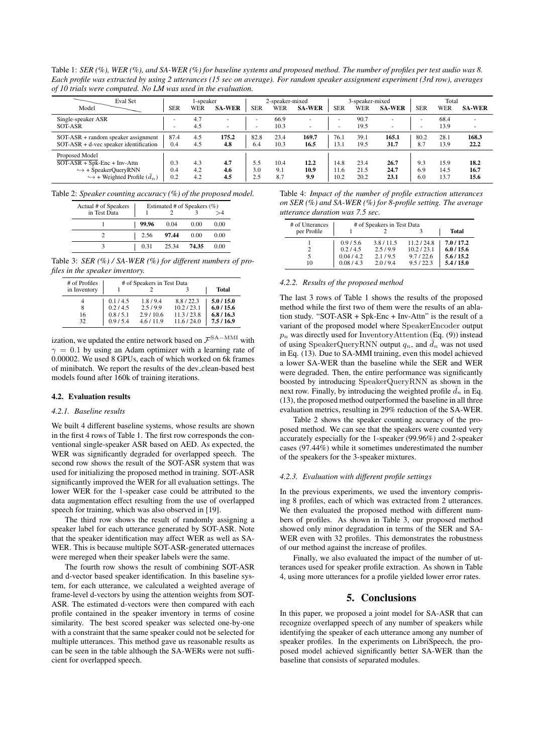Table 1: *SER (%), WER (%), and SA-WER (%) for baseline systems and proposed method. The number of profiles per test audio was 8. Each profile was extracted by using 2 utterances (15 sec on average). For random speaker assignment experiment (3rd row), averages of 10 trials were computed. No LM was used in the evaluation.* ❵

| Eval Set<br>Model                                                                                                                       | <b>SER</b>        | l-speaker<br>WER  | <b>SA-WER</b>     | <b>SER</b>        | 2-speaker-mixed<br>WER | <b>SA-WER</b>       | <b>SER</b>           | 3-speaker-mixed<br>WER | <b>SA-WER</b>        | <b>SER</b>        | Total<br>WER         | <b>SA-WER</b>        |
|-----------------------------------------------------------------------------------------------------------------------------------------|-------------------|-------------------|-------------------|-------------------|------------------------|---------------------|----------------------|------------------------|----------------------|-------------------|----------------------|----------------------|
| Single-speaker ASR<br>SOT-ASR                                                                                                           |                   | 4.7<br>4.5        |                   | ۰<br>۰            | 66.9<br>10.3           |                     | ۰                    | 90.7<br>19.5           |                      | -                 | 68.4<br>13.9         |                      |
| $SOT-ASR$ + random speaker assignment<br>$SOT-ASR + d$ -vec speaker identification                                                      | 87.4<br>0.4       | 4.5<br>4.5        | 175.2<br>4.8      | 82.8<br>6.4       | 23.4<br>10.3           | 169.7<br>16.5       | 76.1<br>13.1         | 39.1<br>19.5           | 165.1<br>31.7        | 80.2<br>8.7       | 28.1<br>13.9         | 168.3<br>22.2        |
| Proposed Model<br>$SOT-ASR + Spk-Enc + Inv-Attn$<br>$\hookrightarrow$ + SpeakerQueryRNN<br>$\hookrightarrow$ + Weighted Profile $(d_n)$ | 0.3<br>0.4<br>0.2 | 4.3<br>4.2<br>4.2 | 4.7<br>4.6<br>4.5 | 5.5<br>3.0<br>2.5 | 10.4<br>9.1<br>8.7     | 12.2<br>10.9<br>9.9 | 14.8<br>11.6<br>10.2 | 23.4<br>21.5<br>20.2   | 26.7<br>24.7<br>23.1 | 9.3<br>6.9<br>6.0 | 15.9<br>14.5<br>13.7 | 18.2<br>16.7<br>15.6 |

Table 2: *Speaker counting accuracy (%) of the proposed model.*

| Actual # of Speakers | Estimated # of Speakers (%) |       |       |      |  |  |  |
|----------------------|-----------------------------|-------|-------|------|--|--|--|
| in Test Data         |                             |       |       |      |  |  |  |
|                      | 99.96                       | 0.04  | 0.00  | 0.00 |  |  |  |
|                      | 2.56                        | 97.44 | 0.00  | 0.00 |  |  |  |
|                      | 0.31                        | 25.34 | 74.35 | 0.00 |  |  |  |

Table 3: *SER (%) / SA-WER (%) for different numbers of profiles in the speaker inventory.*

| # of Profiles | # of Speakers in Test Data |          |             |              |
|---------------|----------------------------|----------|-------------|--------------|
| in Inventory  |                            |          |             | <b>Total</b> |
|               | 0.1/4.5                    | 1.8/9.4  | 8.8/22.3    | 5.0/15.0     |
| 8             | 0.2/4.5                    | 2.5/9.9  | 10.2 / 23.1 | 6.0 / 15.6   |
| 16            | 0.8/5.1                    | 2.9/10.6 | 11.3 / 23.8 | 6.8/16.3     |
| 32            | 0.9/5.4                    | 4.6/11.9 | 11.6 / 24.0 | 7.5/16.9     |

ization, we updated the entire network based on  $\mathcal{F}^{\text{SA}-\text{MMI}}$  with  $\gamma = 0.1$  by using an Adam optimizer with a learning rate of 0.00002. We used 8 GPUs, each of which worked on 6k frames of minibatch. We report the results of the dev clean-based best models found after 160k of training iterations.

## 4.2. Evaluation results

#### *4.2.1. Baseline results*

We built 4 different baseline systems, whose results are shown in the first 4 rows of Table 1. The first row corresponds the conventional single-speaker ASR based on AED. As expected, the WER was significantly degraded for overlapped speech. The second row shows the result of the SOT-ASR system that was used for initializing the proposed method in training. SOT-ASR significantly improved the WER for all evaluation settings. The lower WER for the 1-speaker case could be attributed to the data augmentation effect resulting from the use of overlapped speech for training, which was also observed in [19].

The third row shows the result of randomly assigning a speaker label for each utterance generated by SOT-ASR. Note that the speaker identification may affect WER as well as SA-WER. This is because multiple SOT-ASR-generated utternaces were mereged when their speaker labels were the same.

The fourth row shows the result of combining SOT-ASR and d-vector based speaker identification. In this baseline system, for each utterance, we calculated a weighted average of frame-level d-vectors by using the attention weights from SOT-ASR. The estimated d-vectors were then compared with each profile contained in the speaker inventory in terms of cosine similarity. The best scored speaker was selected one-by-one with a constraint that the same speaker could not be selected for multiple utterances. This method gave us reasonable results as can be seen in the table although the SA-WERs were not sufficient for overlapped speech.

Table 4: *Impact of the number of profile extraction utterances on SER (%) and SA-WER (%) for 8-profile setting. The average utterance duration was 7.5 sec.*

| # of Utterances | # of Speakers in Test Data |          |             |          |
|-----------------|----------------------------|----------|-------------|----------|
| per Profile     |                            |          |             | Total    |
|                 | 0.9/5.6                    | 3.8/11.5 | 11.2 / 24.8 | 7.0/17.2 |
|                 | 0.2/4.5                    | 2.5/9.9  | 10.2 / 23.1 | 6.0/15.6 |
| 5               | 0.04/4.2                   | 2.1/9.5  | 9.7/22.6    | 5.6/15.2 |
| 10              | 0.08/4.3                   | 2.0/9.4  | 9.5/22.3    | 5.4/15.0 |

#### *4.2.2. Results of the proposed method*

The last 3 rows of Table 1 shows the results of the proposed method while the first two of them were the results of an ablation study. "SOT-ASR + Spk-Enc + Inv-Attn" is the result of a variant of the proposed model where SpeakerEncoder output  $p_n$  was directly used for InventoryAttention (Eq. (9)) instead of using SpeakerQueryRNN output  $q_n$ , and  $\bar{d}_n$  was not used in Eq. (13). Due to SA-MMI training, even this model achieved a lower SA-WER than the baseline while the SER and WER were degraded. Then, the entire performance was significantly boosted by introducing SpeakerQueryRNN as shown in the next row. Finally, by introducing the weighted profile  $d_n$  in Eq. (13), the proposed method outperformed the baseline in all three evaluation metrics, resulting in 29% reduction of the SA-WER.

Table 2 shows the speaker counting accuracy of the proposed method. We can see that the speakers were counted very accurately especially for the 1-speaker (99.96%) and 2-speaker cases (97.44%) while it sometimes underestimated the number of the speakers for the 3-speaker mixtures.

### *4.2.3. Evaluation with different profile settings*

In the previous experiments, we used the inventory comprising 8 profiles, each of which was extracted from 2 utterances. We then evaluated the proposed method with different numbers of profiles. As shown in Table 3, our proposed method showed only minor degradation in terms of the SER and SA-WER even with 32 profiles. This demonstrates the robustness of our method against the increase of profiles.

Finally, we also evaluated the impact of the number of utterances used for speaker profile extraction. As shown in Table 4, using more utterances for a profile yielded lower error rates.

## 5. Conclusions

In this paper, we proposed a joint model for SA-ASR that can recognize overlapped speech of any number of speakers while identifying the speaker of each utterance among any number of speaker profiles. In the experiments on LibriSpeech, the proposed model achieved significantly better SA-WER than the baseline that consists of separated modules.